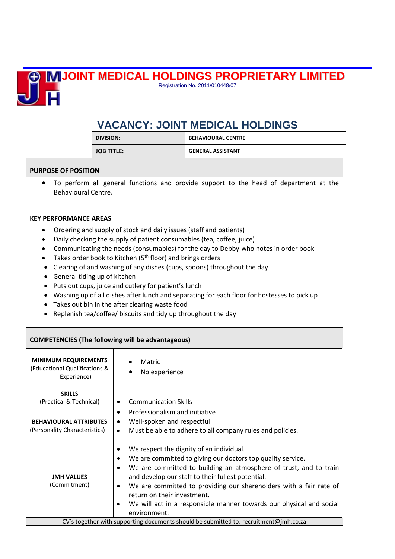## **JOINT MEDICAL HOLDINGS PROPRIETARY LIMITED**



Registration No. 2011/010448/07

# **VACANCY: JOINT MEDICAL HOLDINGS**

| <b>DIVISION:</b>  | <b>BEHAVIOURAL CENTRE</b> |
|-------------------|---------------------------|
| <b>JOB TITLE:</b> | <b>GENERAL ASSISTANT</b>  |

#### **PURPOSE OF POSITION**

• To perform all general functions and provide support to the head of department at the Behavioural Centre.

### **KEY PERFORMANCE AREAS**

- Ordering and supply of stock and daily issues (staff and patients)
- Daily checking the supply of patient consumables (tea, coffee, juice)
- Communicating the needs (consumables) for the day to Debby-who notes in order book
- Takes order book to Kitchen ( $5<sup>th</sup>$  floor) and brings orders
- Clearing of and washing of any dishes (cups, spoons) throughout the day
- General tiding up of kitchen
- Puts out cups, juice and cutlery for patient's lunch
- Washing up of all dishes after lunch and separating for each floor for hostesses to pick up
- Takes out bin in the after clearing waste food
- Replenish tea/coffee/ biscuits and tidy up throughout the day

### **COMPETENCIES (The following will be advantageous)**

| <b>MINIMUM REQUIREMENTS</b><br>(Educational Qualifications &<br>Experience)           | Matric<br>No experience                                                                                                                                                                                                                                                                                                                                                                                                                                           |
|---------------------------------------------------------------------------------------|-------------------------------------------------------------------------------------------------------------------------------------------------------------------------------------------------------------------------------------------------------------------------------------------------------------------------------------------------------------------------------------------------------------------------------------------------------------------|
| <b>SKILLS</b><br>(Practical & Technical)                                              | <b>Communication Skills</b>                                                                                                                                                                                                                                                                                                                                                                                                                                       |
| <b>BEHAVIOURAL ATTRIBUTES</b><br>(Personality Characteristics)                        | Professionalism and initiative<br>$\bullet$<br>Well-spoken and respectful<br>$\bullet$<br>Must be able to adhere to all company rules and policies.<br>$\bullet$                                                                                                                                                                                                                                                                                                  |
| <b>JMH VALUES</b><br>(Commitment)                                                     | We respect the dignity of an individual.<br>٠<br>We are committed to giving our doctors top quality service.<br>٠<br>We are committed to building an atmosphere of trust, and to train<br>$\bullet$<br>and develop our staff to their fullest potential.<br>We are committed to providing our shareholders with a fair rate of<br>$\bullet$<br>return on their investment.<br>We will act in a responsible manner towards our physical and social<br>environment. |
| CV's together with supporting documents should be submitted to: recruitment@jmh.co.za |                                                                                                                                                                                                                                                                                                                                                                                                                                                                   |